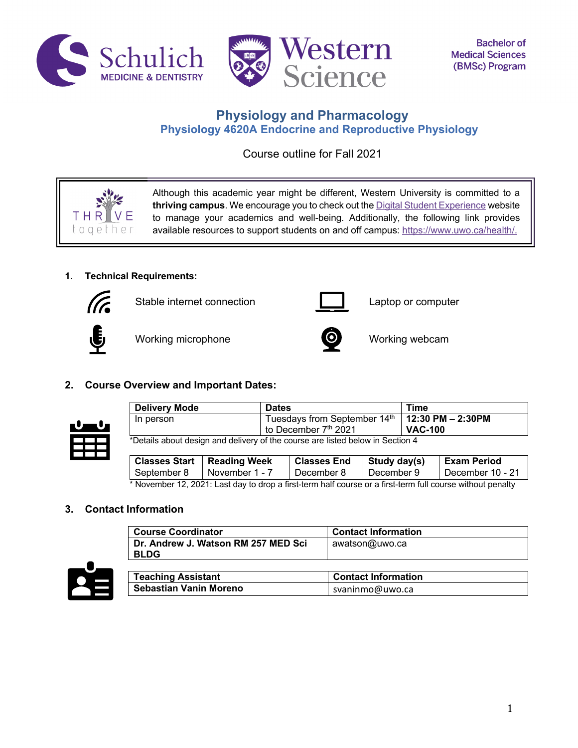



# **Physiology and Pharmacology Physiology 4620A Endocrine and Reproductive Physiology**

Course outline for Fall 2021

Although this academic year might be different, Western University is committed to a **thriving campus**. We encourage you to check out the Digital Student Experience website to manage your academics and well-being. Additionally, the following link provides available resources to support students on and off campus: https://www.uwo.ca/health/.

# **1. Technical Requirements:**



Stable internet connection Laptop or computer



THR toaet

Working microphone **CO** Working webcam



# **2. Course Overview and Important Dates:**



| Delivery Mode                                                                  | <b>Dates</b>                                       | Time           |
|--------------------------------------------------------------------------------|----------------------------------------------------|----------------|
| In person                                                                      | Tuesdays from September $14th$   12:30 PM - 2:30PM |                |
|                                                                                | to December 7th 2021                               | <b>VAC-100</b> |
| *Details about design and delivery of the course are listed below in Section 4 |                                                    |                |

**Classes Start Reading Week Classes End Study day(s) Exam Period** September 8 November 1 - 7 December 8 December 9 December 10 - 21

\* November 12, 2021: Last day to drop a first-term half course or a first-term full course without penalty

# **3. Contact Information**

| <b>Course Coordinator</b>           | <b>Contact Information</b> |
|-------------------------------------|----------------------------|
| Dr. Andrew J. Watson RM 257 MED Sci | awatson@uwo.ca             |
| <b>BLDG</b>                         |                            |



| <b>Teaching Assistant</b> | <b>Contact Information</b> |
|---------------------------|----------------------------|
| Sebastian Vanin Moreno    | svaninmo@uwo.ca            |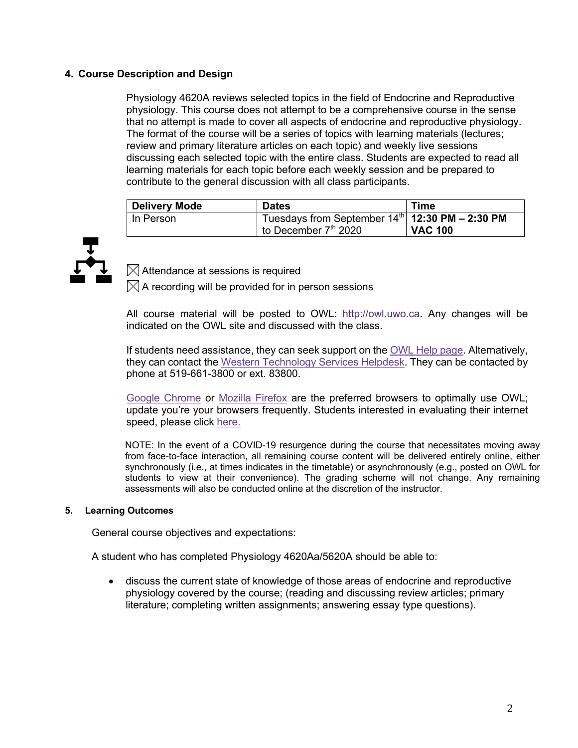# **4. Course Description and Design**

Physiology 4620A reviews selected topics in the field of Endocrine and Reproductive physiology. This course does not attempt to be a comprehensive course in the sense that no attempt is made to cover all aspects of endocrine and reproductive physiology. The format of the course will be a series of topics with learning materials (lectures; review and primary literature articles on each topic) and weekly live sessions discussing each selected topic with the entire class. Students are expected to read all learning materials for each topic before each weekly session and be prepared to contribute to the general discussion with all class participants.

| <b>Delivery Mode</b> | <b>Dates</b>                                      | Time           |
|----------------------|---------------------------------------------------|----------------|
| In Person            | Tuesdays from September $14th$ 12:30 PM - 2:30 PM |                |
|                      | to December $7th$ 2020                            | <b>VAC 100</b> |



 $\boxtimes$  Attendance at sessions is required

 $\boxtimes$  A recording will be provided for in person sessions

All course material will be posted to OWL: http://owl.uwo.ca. Any changes will be indicated on the OWL site and discussed with the class.

If students need assistance, they can seek support on the OWL Help page. Alternatively, they can contact the Western Technology Services Helpdesk. They can be contacted by phone at 519-661-3800 or ext. 83800.

Google Chrome or Mozilla Firefox are the preferred browsers to optimally use OWL; update you're your browsers frequently. Students interested in evaluating their internet speed, please click here.

NOTE: In the event of a COVID-19 resurgence during the course that necessitates moving away from face-to-face interaction, all remaining course content will be delivered entirely online, either synchronously (i.e., at times indicates in the timetable) or asynchronously (e.g., posted on OWL for students to view at their convenience). The grading scheme will not change. Any remaining assessments will also be conducted online at the discretion of the instructor.

### **5. Learning Outcomes**

General course objectives and expectations:

A student who has completed Physiology 4620Aa/5620A should be able to:

• discuss the current state of knowledge of those areas of endocrine and reproductive physiology covered by the course; (reading and discussing review articles; primary literature; completing written assignments; answering essay type questions).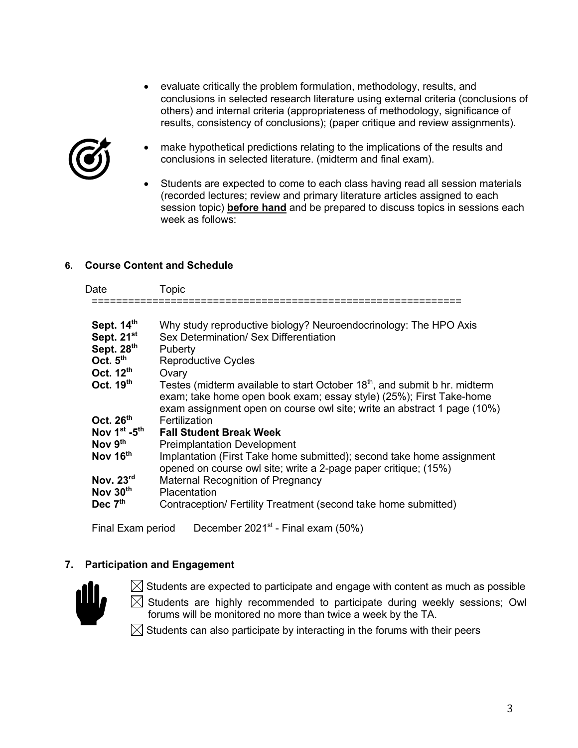• evaluate critically the problem formulation, methodology, results, and conclusions in selected research literature using external criteria (conclusions of others) and internal criteria (appropriateness of methodology, significance of results, consistency of conclusions); (paper critique and review assignments).



- make hypothetical predictions relating to the implications of the results and conclusions in selected literature. (midterm and final exam).
- Students are expected to come to each class having read all session materials (recorded lectures; review and primary literature articles assigned to each session topic) **before hand** and be prepared to discuss topics in sessions each week as follows:

# **6. Course Content and Schedule**

| - |  |
|---|--|
|   |  |

| Sept. 14 <sup>th</sup>   | Why study reproductive biology? Neuroendocrinology: The HPO Axis                                                                                                                                                                         |
|--------------------------|------------------------------------------------------------------------------------------------------------------------------------------------------------------------------------------------------------------------------------------|
| Sept. 21 $st$            | Sex Determination/ Sex Differentiation                                                                                                                                                                                                   |
| Sept. 28 <sup>th</sup>   | Puberty                                                                                                                                                                                                                                  |
| Oct. $5^{\text{th}}$     | <b>Reproductive Cycles</b>                                                                                                                                                                                                               |
| Oct. 12 $th$             | Ovary                                                                                                                                                                                                                                    |
| Oct. 19 $th$             | Testes (midterm available to start October 18 <sup>th</sup> , and submit b hr. midterm<br>exam; take home open book exam; essay style) (25%); First Take-home<br>exam assignment open on course owl site; write an abstract 1 page (10%) |
| Oct. $26^{\text{th}}$    | Fertilization                                                                                                                                                                                                                            |
| Nov 1st -5 <sup>th</sup> | <b>Fall Student Break Week</b>                                                                                                                                                                                                           |
| Nov 9 <sup>th</sup>      | <b>Preimplantation Development</b>                                                                                                                                                                                                       |
| Nov 16 <sup>th</sup>     | Implantation (First Take home submitted); second take home assignment<br>opened on course owl site; write a 2-page paper critique; (15%)                                                                                                 |
| Nov. $23^{\text{rd}}$    | Maternal Recognition of Pregnancy                                                                                                                                                                                                        |
| Nov 30 <sup>th</sup>     | Placentation                                                                                                                                                                                                                             |
| Dec $7^{\mathsf{th}}$    | Contraception/ Fertility Treatment (second take home submitted)                                                                                                                                                                          |
|                          |                                                                                                                                                                                                                                          |

Final Exam period December 2021<sup>st</sup> - Final exam (50%)

# **7. Participation and Engagement**



 $\boxtimes$  Students are expected to participate and engage with content as much as possible

 $\boxtimes$  Students are highly recommended to participate during weekly sessions; Owl forums will be monitored no more than twice a week by the TA.

 $\boxtimes$  Students can also participate by interacting in the forums with their peers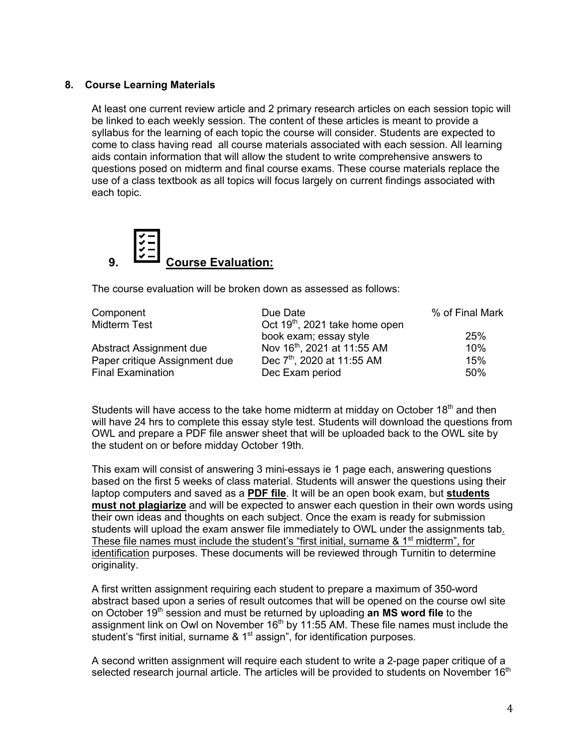# **8. Course Learning Materials**

At least one current review article and 2 primary research articles on each session topic will be linked to each weekly session. The content of these articles is meant to provide a syllabus for the learning of each topic the course will consider. Students are expected to come to class having read all course materials associated with each session. All learning aids contain information that will allow the student to write comprehensive answers to questions posed on midterm and final course exams. These course materials replace the use of a class textbook as all topics will focus largely on current findings associated with each topic.



The course evaluation will be broken down as assessed as follows:

| Due Date                                   | % of Final Mark                         |
|--------------------------------------------|-----------------------------------------|
| Oct 19 <sup>th</sup> , 2021 take home open |                                         |
| book exam; essay style                     | 25%                                     |
|                                            | 10%                                     |
| Dec 7 <sup>th</sup> , 2020 at 11:55 AM     | 15%                                     |
| Dec Exam period                            | 50%                                     |
|                                            | Nov 16 <sup>th</sup> , 2021 at 11:55 AM |

Students will have access to the take home midterm at midday on October  $18<sup>th</sup>$  and then will have 24 hrs to complete this essay style test. Students will download the questions from OWL and prepare a PDF file answer sheet that will be uploaded back to the OWL site by the student on or before midday October 19th.

This exam will consist of answering 3 mini-essays ie 1 page each, answering questions based on the first 5 weeks of class material. Students will answer the questions using their laptop computers and saved as a **PDF file**. It will be an open book exam, but **students must not plagiarize** and will be expected to answer each question in their own words using their own ideas and thoughts on each subject. Once the exam is ready for submission students will upload the exam answer file immediately to OWL under the assignments tab. These file names must include the student's "first initial, surname & 1<sup>st</sup> midterm", for identification purposes. These documents will be reviewed through Turnitin to determine originality.

A first written assignment requiring each student to prepare a maximum of 350-word abstract based upon a series of result outcomes that will be opened on the course owl site on October 19th session and must be returned by uploading **an MS word file** to the assignment link on Owl on November  $16<sup>th</sup>$  by  $11:55$  AM. These file names must include the student's "first initial, surname & 1<sup>st</sup> assign", for identification purposes.

A second written assignment will require each student to write a 2-page paper critique of a selected research journal article. The articles will be provided to students on November 16<sup>th</sup>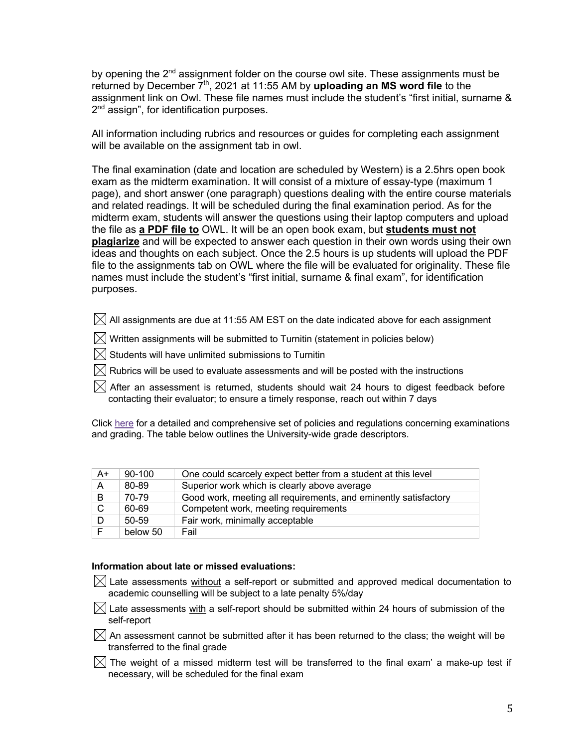by opening the 2<sup>nd</sup> assignment folder on the course owl site. These assignments must be returned by December 7th, 2021 at 11:55 AM by **uploading an MS word file** to the assignment link on Owl. These file names must include the student's "first initial, surname & 2<sup>nd</sup> assign", for identification purposes.

All information including rubrics and resources or guides for completing each assignment will be available on the assignment tab in owl.

The final examination (date and location are scheduled by Western) is a 2.5hrs open book exam as the midterm examination. It will consist of a mixture of essay-type (maximum 1 page), and short answer (one paragraph) questions dealing with the entire course materials and related readings. It will be scheduled during the final examination period. As for the midterm exam, students will answer the questions using their laptop computers and upload the file as **a PDF file to** OWL. It will be an open book exam, but **students must not plagiarize** and will be expected to answer each question in their own words using their own ideas and thoughts on each subject. Once the 2.5 hours is up students will upload the PDF file to the assignments tab on OWL where the file will be evaluated for originality. These file names must include the student's "first initial, surname & final exam", for identification purposes.

- $\boxtimes$  All assignments are due at 11:55 AM EST on the date indicated above for each assignment
- $\boxtimes$  Written assignments will be submitted to Turnitin (statement in policies below)
- $\boxtimes$  Students will have unlimited submissions to Turnitin
- $\boxtimes$  Rubrics will be used to evaluate assessments and will be posted with the instructions
- $\boxtimes$  After an assessment is returned, students should wait 24 hours to digest feedback before contacting their evaluator; to ensure a timely response, reach out within 7 days

Click here for a detailed and comprehensive set of policies and regulations concerning examinations and grading. The table below outlines the University-wide grade descriptors.

| $A+$ | $90 - 100$ | One could scarcely expect better from a student at this level   |
|------|------------|-----------------------------------------------------------------|
| A    | 80-89      | Superior work which is clearly above average                    |
| B    | 70-79      | Good work, meeting all requirements, and eminently satisfactory |
| C    | 60-69      | Competent work, meeting requirements                            |
| D    | $50-59$    | Fair work, minimally acceptable                                 |
| F.   | below 50   | Fail                                                            |

#### **Information about late or missed evaluations:**

- $\boxtimes$  Late assessments without a self-report or submitted and approved medical documentation to academic counselling will be subject to a late penalty 5%/day
- $\boxtimes$  Late assessments with a self-report should be submitted within 24 hours of submission of the self-report
- $\boxtimes$  An assessment cannot be submitted after it has been returned to the class: the weight will be transferred to the final grade
- $\boxtimes$  The weight of a missed midterm test will be transferred to the final exam' a make-up test if necessary, will be scheduled for the final exam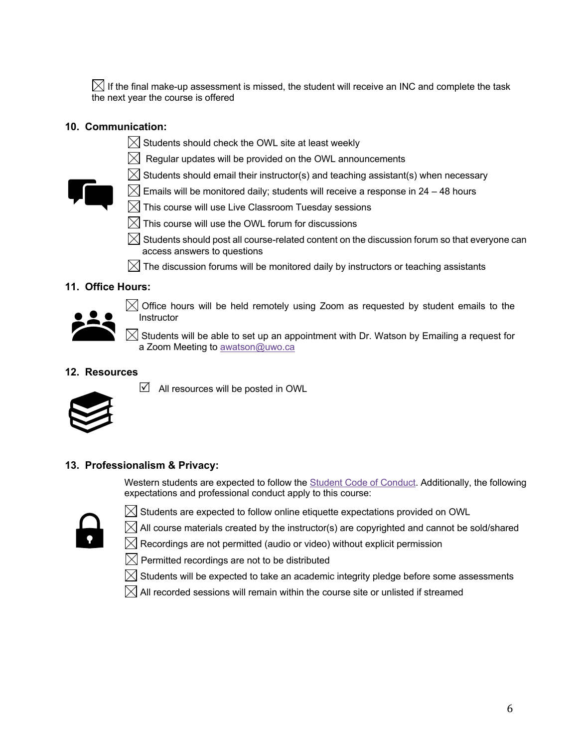$\boxtimes$  If the final make-up assessment is missed, the student will receive an INC and complete the task the next year the course is offered

# **10. Communication:**

- $\boxtimes$  Students should check the OWL site at least weekly
- $\boxtimes$  Regular updates will be provided on the OWL announcements
- $\boxtimes$  Students should email their instructor(s) and teaching assistant(s) when necessary



- $\boxtimes$  Emails will be monitored daily; students will receive a response in 24 48 hours
- $[\times]$  This course will use Live Classroom Tuesday sessions
- $\boxtimes$  This course will use the OWL forum for discussions
- $\boxtimes$  Students should post all course-related content on the discussion forum so that everyone can access answers to questions
- $\boxtimes$  The discussion forums will be monitored daily by instructors or teaching assistants

# **11. Office Hours:**



 $\bowtie$  Office hours will be held remotely using Zoom as requested by student emails to the **Instructor** 

 $\boxtimes$  Students will be able to set up an appointment with Dr. Watson by Emailing a request for a Zoom Meeting to awatson@uwo.ca

# **12. Resources**



 $\blacksquare$  All resources will be posted in OWL

# **13. Professionalism & Privacy:**

Western students are expected to follow the **Student Code of Conduct**. Additionally, the following expectations and professional conduct apply to this course:



 $\boxtimes$  Students are expected to follow online etiquette expectations provided on OWL

 $\boxtimes$  All course materials created by the instructor(s) are copyrighted and cannot be sold/shared

 $\boxtimes$  Recordings are not permitted (audio or video) without explicit permission

 $\boxtimes$  Permitted recordings are not to be distributed

 $\boxtimes$  Students will be expected to take an academic integrity pledge before some assessments

 $\boxtimes$  All recorded sessions will remain within the course site or unlisted if streamed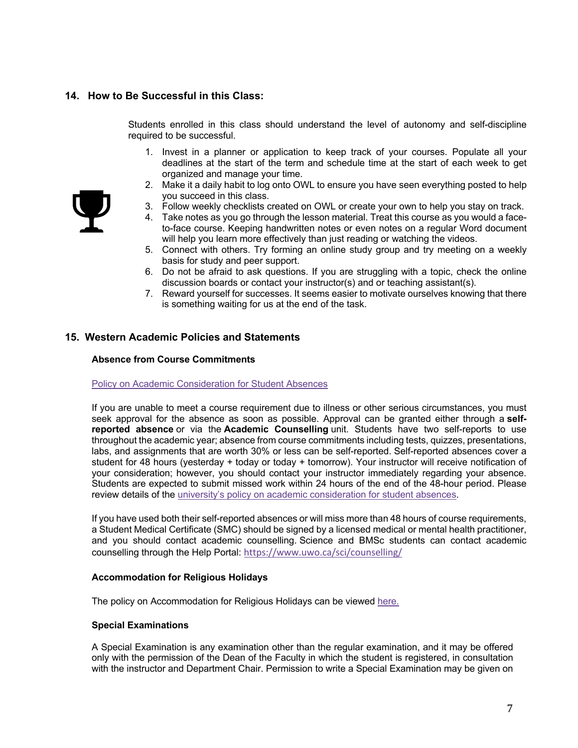# **14. How to Be Successful in this Class:**

Students enrolled in this class should understand the level of autonomy and self-discipline required to be successful.

- 1. Invest in a planner or application to keep track of your courses. Populate all your deadlines at the start of the term and schedule time at the start of each week to get organized and manage your time.
- 2. Make it a daily habit to log onto OWL to ensure you have seen everything posted to help you succeed in this class.
- 3. Follow weekly checklists created on OWL or create your own to help you stay on track.
- 4. Take notes as you go through the lesson material. Treat this course as you would a faceto-face course. Keeping handwritten notes or even notes on a regular Word document will help you learn more effectively than just reading or watching the videos.
- 5. Connect with others. Try forming an online study group and try meeting on a weekly basis for study and peer support.
- 6. Do not be afraid to ask questions. If you are struggling with a topic, check the online discussion boards or contact your instructor(s) and or teaching assistant(s).
- 7. Reward yourself for successes. It seems easier to motivate ourselves knowing that there is something waiting for us at the end of the task.

### **15. Western Academic Policies and Statements**

#### **Absence from Course Commitments**

#### Policy on Academic Consideration for Student Absences

If you are unable to meet a course requirement due to illness or other serious circumstances, you must seek approval for the absence as soon as possible. Approval can be granted either through a **selfreported absence** or via the **Academic Counselling** unit. Students have two self-reports to use throughout the academic year; absence from course commitments including tests, quizzes, presentations, labs, and assignments that are worth 30% or less can be self-reported. Self-reported absences cover a student for 48 hours (yesterday + today or today + tomorrow). Your instructor will receive notification of your consideration; however, you should contact your instructor immediately regarding your absence. Students are expected to submit missed work within 24 hours of the end of the 48-hour period. Please review details of the university's policy on academic consideration for student absences.

If you have used both their self-reported absences or will miss more than 48 hours of course requirements, a Student Medical Certificate (SMC) should be signed by a licensed medical or mental health practitioner, and you should contact academic counselling. Science and BMSc students can contact academic counselling through the Help Portal: https://www.uwo.ca/sci/counselling/

### **Accommodation for Religious Holidays**

The policy on Accommodation for Religious Holidays can be viewed here.

### **Special Examinations**

A Special Examination is any examination other than the regular examination, and it may be offered only with the permission of the Dean of the Faculty in which the student is registered, in consultation with the instructor and Department Chair. Permission to write a Special Examination may be given on

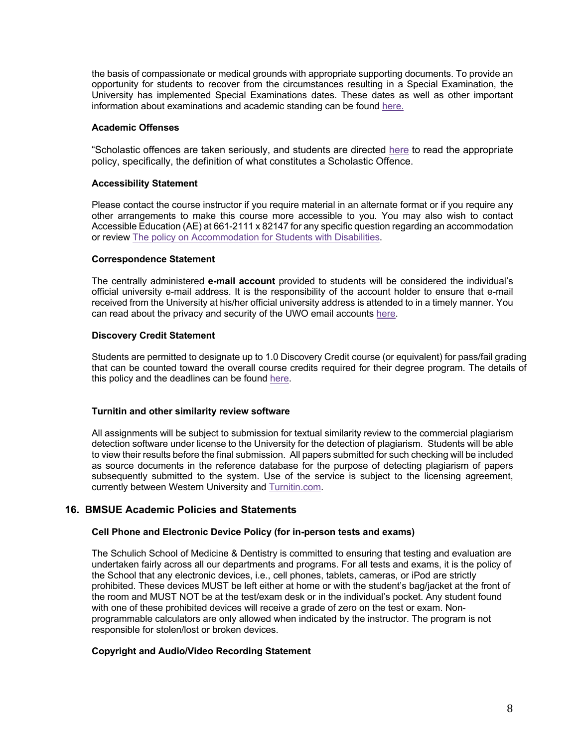the basis of compassionate or medical grounds with appropriate supporting documents. To provide an opportunity for students to recover from the circumstances resulting in a Special Examination, the University has implemented Special Examinations dates. These dates as well as other important information about examinations and academic standing can be found here.

### **Academic Offenses**

"Scholastic offences are taken seriously, and students are directed here to read the appropriate policy, specifically, the definition of what constitutes a Scholastic Offence.

### **Accessibility Statement**

Please contact the course instructor if you require material in an alternate format or if you require any other arrangements to make this course more accessible to you. You may also wish to contact Accessible Education (AE) at 661-2111 x 82147 for any specific question regarding an accommodation or review The policy on Accommodation for Students with Disabilities.

### **Correspondence Statement**

The centrally administered **e-mail account** provided to students will be considered the individual's official university e-mail address. It is the responsibility of the account holder to ensure that e-mail received from the University at his/her official university address is attended to in a timely manner. You can read about the privacy and security of the UWO email accounts here.

### **Discovery Credit Statement**

Students are permitted to designate up to 1.0 Discovery Credit course (or equivalent) for pass/fail grading that can be counted toward the overall course credits required for their degree program. The details of this policy and the deadlines can be found here.

### **Turnitin and other similarity review software**

All assignments will be subject to submission for textual similarity review to the commercial plagiarism detection software under license to the University for the detection of plagiarism. Students will be able to view their results before the final submission. All papers submitted for such checking will be included as source documents in the reference database for the purpose of detecting plagiarism of papers subsequently submitted to the system. Use of the service is subject to the licensing agreement, currently between Western University and Turnitin.com.

# **16. BMSUE Academic Policies and Statements**

### **Cell Phone and Electronic Device Policy (for in-person tests and exams)**

The Schulich School of Medicine & Dentistry is committed to ensuring that testing and evaluation are undertaken fairly across all our departments and programs. For all tests and exams, it is the policy of the School that any electronic devices, i.e., cell phones, tablets, cameras, or iPod are strictly prohibited. These devices MUST be left either at home or with the student's bag/jacket at the front of the room and MUST NOT be at the test/exam desk or in the individual's pocket. Any student found with one of these prohibited devices will receive a grade of zero on the test or exam. Nonprogrammable calculators are only allowed when indicated by the instructor. The program is not responsible for stolen/lost or broken devices.

# **Copyright and Audio/Video Recording Statement**